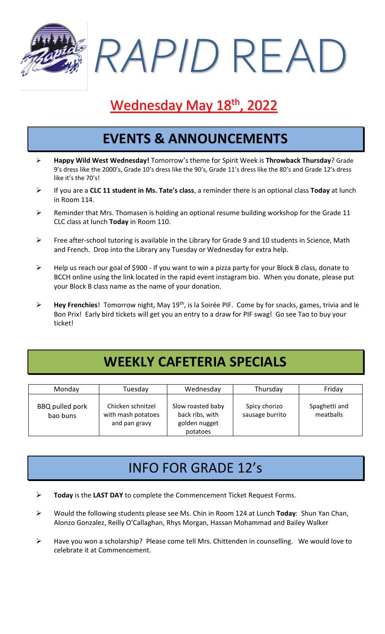*RAPID* READ

# Wednesday May 18<sup>th</sup>, 2022

#### **EVENTS & ANNOUNCEMENTS**

- ➢ **Happy Wild West Wednesday!** Tomorrow's theme for Spirit Week is **Throwback Thursday**? Grade 9's dress like the 2000's, Grade 10's dress like the 90's, Grade 11's dress like the 80's and Grade 12's dress like it's the 70's!
- ➢ If you are a **CLC 11 student in Ms. Tate's class**, a reminder there is an optional class **Today** at lunch in Room 114.
- ➢ Reminder that Mrs. Thomasen is holding an optional resume building workshop for the Grade 11 CLC class at lunch **Today** in Room 110.
- ➢ Free after-school tutoring is available in the Library for Grade 9 and 10 students in Science, Math and French. Drop into the Library any Tuesday or Wednesday for extra help.
- ➢ Help us reach our goal of \$900 If you want to win a pizza party for your Block B class, donate to BCCH online using the link located in the rapid event instagram bio. When you donate, please put your Block B class name as the name of your donation.
- ➢ **Hey Frenchies**! Tomorrow night, May 19th , is la Soirée PIF. Come by for snacks, games, trivia and le Bon Prix! Early bird tickets will get you an entry to a draw for PIF swag! Go see Tao to buy your ticket!

#### **WEEKLY CAFETERIA SPECIALS**

| Monday                      | Tuesday                                                  | Wednesday                                                         | Thursday                         | Friday                     |
|-----------------------------|----------------------------------------------------------|-------------------------------------------------------------------|----------------------------------|----------------------------|
| BBQ pulled pork<br>bao buns | Chicken schnitzel<br>with mash potatoes<br>and pan gravy | Slow roasted baby<br>back ribs, with<br>golden nugget<br>potatoes | Spicy chorizo<br>sausage burrito | Spaghetti and<br>meatballs |

## INFO FOR GRADE 12's

- ➢ **Today** is the **LAST DAY** to complete the Commencement Ticket Request Forms.
- ➢ Would the following students please see Ms. Chin in Room 124 at Lunch **Today**: Shun Yan Chan, Alonzo Gonzalez, Reilly O'Callaghan, Rhys Morgan, Hassan Mohammad and Bailey Walker
- ➢ Have you won a scholarship? Please come tell Mrs. Chittenden in counselling. We would love to celebrate it at Commencement.